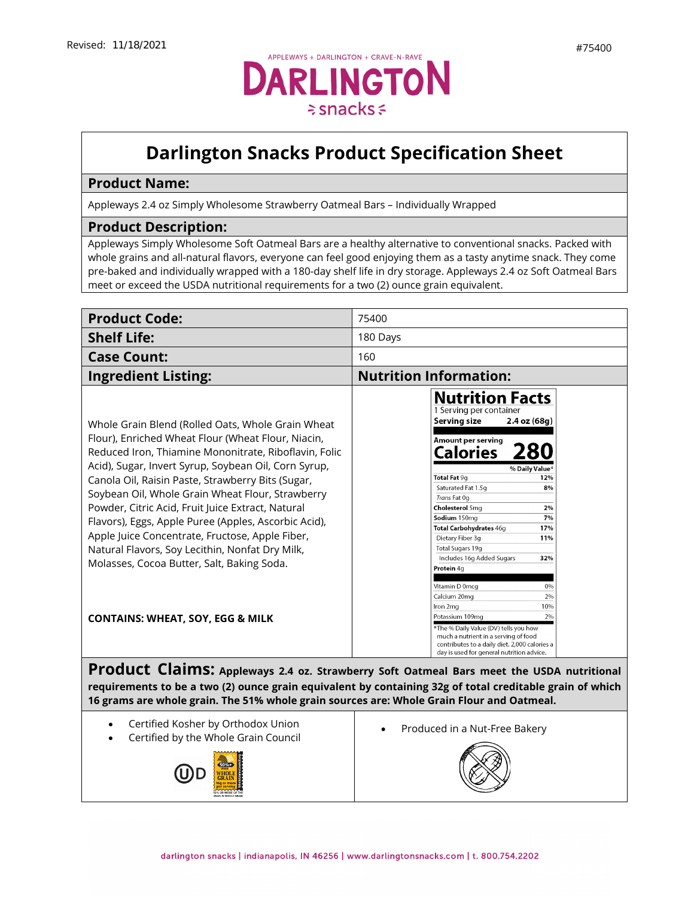## **Darlington Snacks Product Specification Sheet**

## **Product Name:**

Appleways 2.4 oz Simply Wholesome Strawberry Oatmeal Bars – Individually Wrapped

## **Product Description:**

Appleways Simply Wholesome Soft Oatmeal Bars are a healthy alternative to conventional snacks. Packed with whole grains and all-natural flavors, everyone can feel good enjoying them as a tasty anytime snack. They come pre-baked and individually wrapped with a 180-day shelf life in dry storage. Appleways 2.4 oz Soft Oatmeal Bars meet or exceed the USDA nutritional requirements for a two (2) ounce grain equivalent.

| <b>Product Code:</b>                                                                                                                                                                                                                                                                                                                                                                                                                                                                                                                                                                                                                                                                                                                           | 75400                                                                                                                                                                                                                                                                                                                                                                                                                                                                                                                                                                                                                                                                                                                                                                                                                                                                       |
|------------------------------------------------------------------------------------------------------------------------------------------------------------------------------------------------------------------------------------------------------------------------------------------------------------------------------------------------------------------------------------------------------------------------------------------------------------------------------------------------------------------------------------------------------------------------------------------------------------------------------------------------------------------------------------------------------------------------------------------------|-----------------------------------------------------------------------------------------------------------------------------------------------------------------------------------------------------------------------------------------------------------------------------------------------------------------------------------------------------------------------------------------------------------------------------------------------------------------------------------------------------------------------------------------------------------------------------------------------------------------------------------------------------------------------------------------------------------------------------------------------------------------------------------------------------------------------------------------------------------------------------|
| <b>Shelf Life:</b>                                                                                                                                                                                                                                                                                                                                                                                                                                                                                                                                                                                                                                                                                                                             | 180 Days                                                                                                                                                                                                                                                                                                                                                                                                                                                                                                                                                                                                                                                                                                                                                                                                                                                                    |
| <b>Case Count:</b>                                                                                                                                                                                                                                                                                                                                                                                                                                                                                                                                                                                                                                                                                                                             | 160                                                                                                                                                                                                                                                                                                                                                                                                                                                                                                                                                                                                                                                                                                                                                                                                                                                                         |
| <b>Ingredient Listing:</b>                                                                                                                                                                                                                                                                                                                                                                                                                                                                                                                                                                                                                                                                                                                     | <b>Nutrition Information:</b>                                                                                                                                                                                                                                                                                                                                                                                                                                                                                                                                                                                                                                                                                                                                                                                                                                               |
| Whole Grain Blend (Rolled Oats, Whole Grain Wheat<br>Flour), Enriched Wheat Flour (Wheat Flour, Niacin,<br>Reduced Iron, Thiamine Mononitrate, Riboflavin, Folic<br>Acid), Sugar, Invert Syrup, Soybean Oil, Corn Syrup,<br>Canola Oil, Raisin Paste, Strawberry Bits (Sugar,<br>Soybean Oil, Whole Grain Wheat Flour, Strawberry<br>Powder, Citric Acid, Fruit Juice Extract, Natural<br>Flavors), Eggs, Apple Puree (Apples, Ascorbic Acid),<br>Apple Juice Concentrate, Fructose, Apple Fiber,<br>Natural Flavors, Soy Lecithin, Nonfat Dry Milk,<br>Molasses, Cocoa Butter, Salt, Baking Soda.<br><b>CONTAINS: WHEAT, SOY, EGG &amp; MILK</b><br>16 grams are whole grain. The 51% whole grain sources are: Whole Grain Flour and Oatmeal. | <b>Nutrition Facts</b><br>1 Serving per container<br>Serving size<br>2.4 oz (68g)<br>Amount per serving<br>Calories<br>% Daily Value'<br>Total Fat 9g<br>12%<br>Saturated Fat 1.5g<br>8%<br>Trans Fat Og<br>Cholesterol 5mg<br>2%<br>7%<br>Sodium 150mg<br>Total Carbohydrates 46g<br>17%<br>Dietary Fiber 3g<br>11%<br>Total Sugars 19g<br>Includes 16g Added Sugars<br>32%<br>Protein 4q<br>Vitamin D 0mcg<br>0%<br>2%<br>Calcium 20mg<br>10%<br>Iron 2mg<br>Potassium 109mg<br>2%<br>*The % Daily Value (DV) tells you how<br>much a nutrient in a serving of food<br>contributes to a daily diet. 2,000 calories a<br>day is used for general nutrition advice.<br>Product Claims: Appleways 2.4 oz. Strawberry Soft Oatmeal Bars meet the USDA nutritional<br>requirements to be a two (2) ounce grain equivalent by containing 32g of total creditable grain of which |
| Certified Kosher by Orthodox Union<br>$\cdots$ $\cdots$ $\cdots$ $\cdots$                                                                                                                                                                                                                                                                                                                                                                                                                                                                                                                                                                                                                                                                      | Produced in a Nut-Free Bakery<br>$\bullet$                                                                                                                                                                                                                                                                                                                                                                                                                                                                                                                                                                                                                                                                                                                                                                                                                                  |